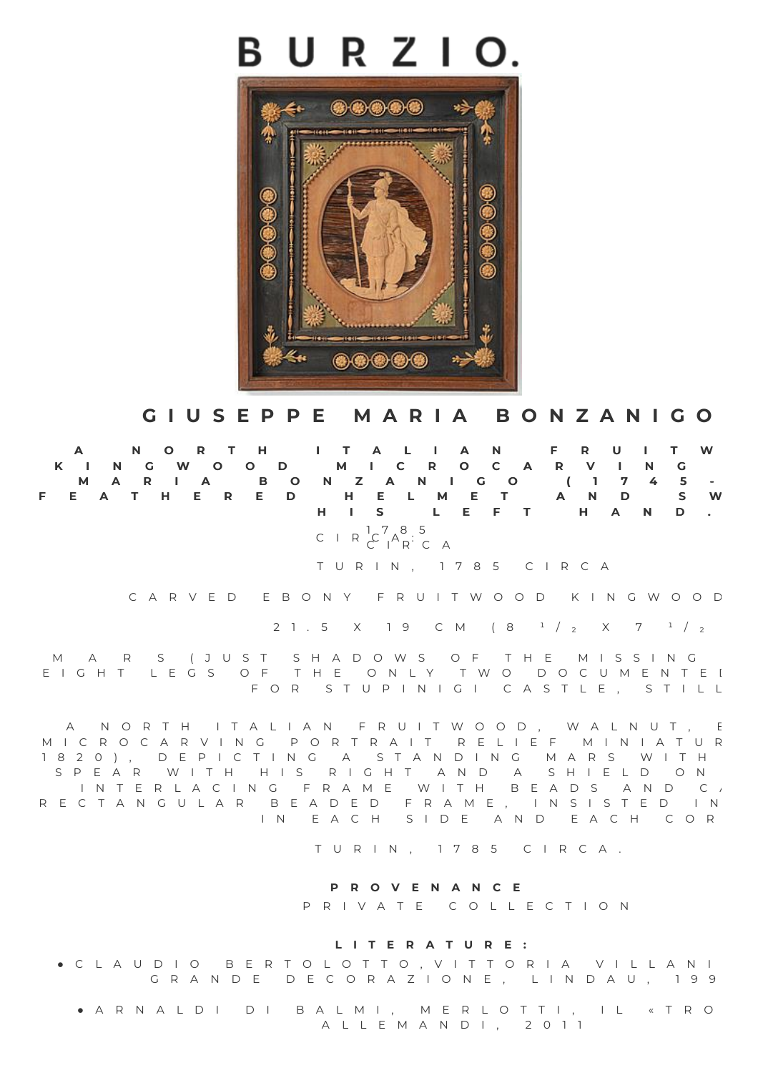## BURZIO.



## GIUSEPPE MARIA BONZANICO

A NORTH ITALIAN FRUITW K I N G W O O D M I C R O C A R V I N G M A R I A B O N Z A N I G O (1 7 4 5 -FEATHERED HELMET AND SW **H I S L E F T H A N D .**

> C I R  ${}^{1}C^{7}A^{8}:$  5  $C$   $A$ <sup>A</sup>R<sup> $\cdot$ </sup>C A

T U R I N , 1 7 8 5 C I R C A

C A R V E D E B O N Y F R U I T W O O D K I N G W O O D

2 1 . 5 X 1 9 C M (  $8^{1}/2$  X 7  $1/2$ 

M A R S (JUST SHADOWS OF THE MISSING E I G H T L E G S O F T H E O N L Y T W O D O C U M E N T E I F O R S T U P I N I G I C A S T L E , S T I L L

A N O R T H I T A L I A N F R U I T W O O D , W A L N U T , E M I C R O C A R V I N G P O R T R A I T R E L I E F M I N I A T U R 1 8 2 0 ), D E P I C T I N G A S T A N D I N G M A R S W I T H S P E A R W I T H H I S R I G H T A N D A S H I E L D O N I N T E R L A C I N G F R A M E W I T H B E A D S A N D C A R E C T A N G U L A R B E A D E D F R A M E , I N S I S T E D I N IN EACH SIDE AND EACH COR

T U R I N , 1 7 8 5 C I R C A .

## **P R O V E N A N C E**

P R I V A T E C O L L E C T I O N

## **L I T E R A T U R E :**

C L A U D I O B E R T O L O T T O , V I T T O R I A V I L L A N I G R A N D E D E C O R A Z I O N E , L I N D A U , 199

 $\bullet$  A R N A L D I D I B A L M I , M E R L O T T I , I L « T R O A L L E M A N D I , 2 0 1 1